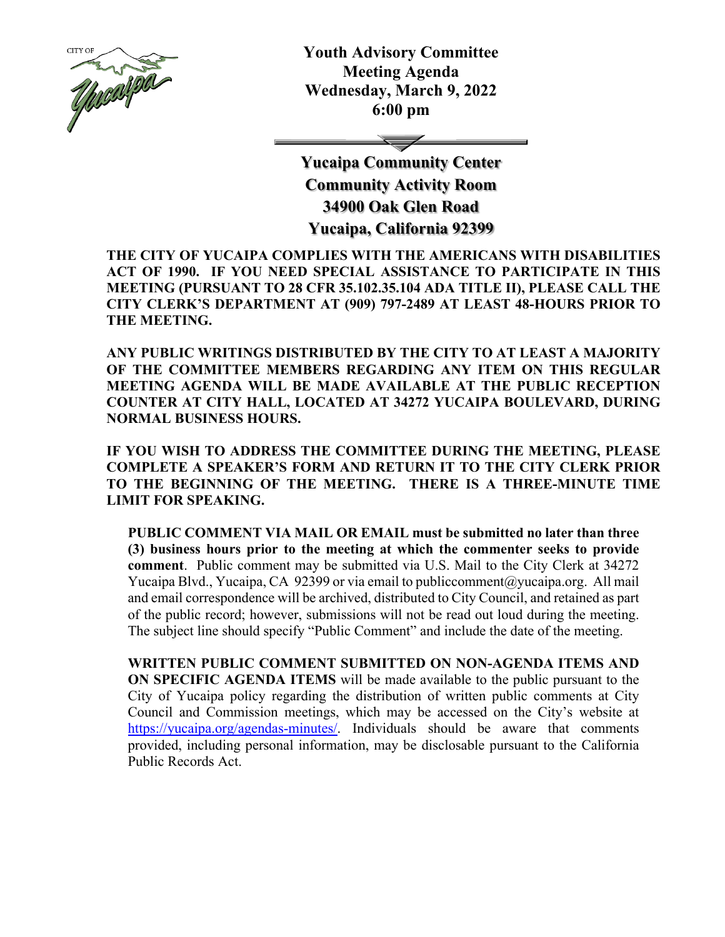

**Youth Advisory Committee Meeting Agenda Wednesday, March 9, 2022 6:00 pm**

**Yucaipa Community Center Community Activity Room 34900 Oak Glen Road**

**Yucaipa, California 92399**

**THE CITY OF YUCAIPA COMPLIES WITH THE AMERICANS WITH DISABILITIES ACT OF 1990. IF YOU NEED SPECIAL ASSISTANCE TO PARTICIPATE IN THIS MEETING (PURSUANT TO 28 CFR 35.102.35.104 ADA TITLE II), PLEASE CALL THE CITY CLERK'S DEPARTMENT AT (909) 797-2489 AT LEAST 48-HOURS PRIOR TO THE MEETING.**

**ANY PUBLIC WRITINGS DISTRIBUTED BY THE CITY TO AT LEAST A MAJORITY OF THE COMMITTEE MEMBERS REGARDING ANY ITEM ON THIS REGULAR MEETING AGENDA WILL BE MADE AVAILABLE AT THE PUBLIC RECEPTION COUNTER AT CITY HALL, LOCATED AT 34272 YUCAIPA BOULEVARD, DURING NORMAL BUSINESS HOURS.** 

**IF YOU WISH TO ADDRESS THE COMMITTEE DURING THE MEETING, PLEASE COMPLETE A SPEAKER'S FORM AND RETURN IT TO THE CITY CLERK PRIOR TO THE BEGINNING OF THE MEETING. THERE IS A THREE-MINUTE TIME LIMIT FOR SPEAKING.**

**PUBLIC COMMENT VIA MAIL OR EMAIL must be submitted no later than three (3) business hours prior to the meeting at which the commenter seeks to provide comment**. Public comment may be submitted via U.S. Mail to the City Clerk at 34272 Yucaipa Blvd., Yucaipa, CA 92399 or via email to [publiccomment@yucaipa.org.](mailto:publiccomment@yucaipa.org) All mail and email correspondence will be archived, distributed to City Council, and retained as part of the public record; however, submissions will not be read out loud during the meeting. The subject line should specify "Public Comment" and include the date of the meeting.

**WRITTEN PUBLIC COMMENT SUBMITTED ON NON-AGENDA ITEMS AND ON SPECIFIC AGENDA ITEMS** will be made available to the public pursuant to the City of Yucaipa policy regarding the distribution of written public comments at City Council and Commission meetings, which may be accessed on the City's website at [https://yucaipa.org/agendas-minutes/.](https://yucaipa.org/agendas-minutes/) Individuals should be aware that comments provided, including personal information, may be disclosable pursuant to the California Public Records Act.